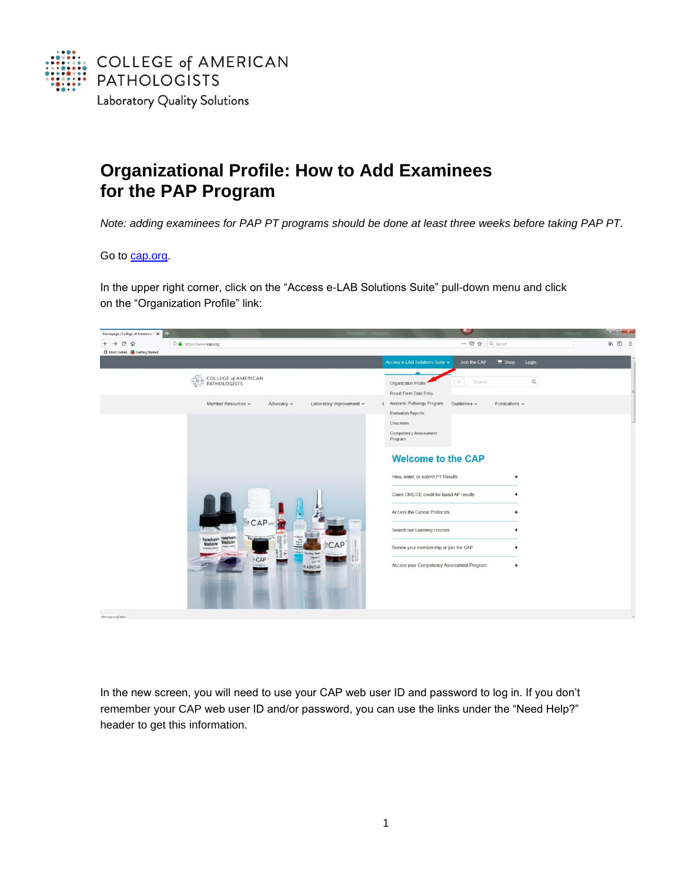

## **Organizational Profile: How to Add Examinees for the PAP Program**

*Note: adding examinees for PAP PT programs should be done at least three weeks before taking PAP PT.*

## Go to [cap.org.](http://www.cap.org/)

In the upper right corner, click on the "Access e-LAB Solutions Suite" pull-down menu and click on the "Organization Profile" link:



In the new screen, you will need to use your CAP web user ID and password to log in. If you don't remember your CAP web user ID and/or password, you can use the links under the "Need Help?" header to get this information.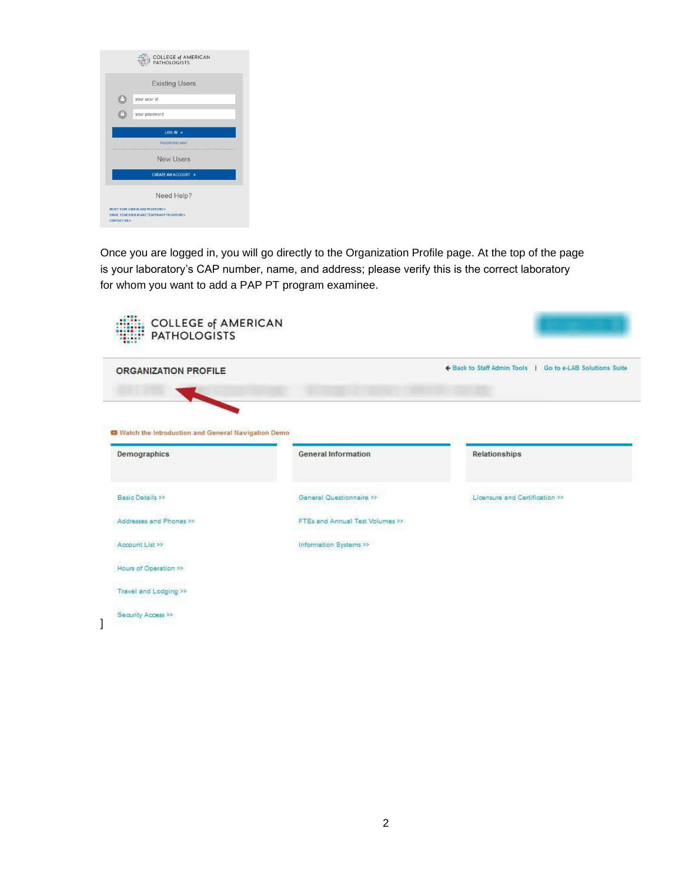|                        | <b>COLLEGE of AMERICAN</b><br><b>PATHOLOGISTS</b>                                |
|------------------------|----------------------------------------------------------------------------------|
|                        | <b>Existing Users</b>                                                            |
|                        | your user id                                                                     |
|                        | your password                                                                    |
|                        | $LOGIN \rightarrow$                                                              |
|                        | PASSWORD HINT                                                                    |
|                        | New Users                                                                        |
|                        | <b>CREATE AN ACCOUNT &gt;</b>                                                    |
|                        | Need Help?                                                                       |
| <b>CONTACT US &gt;</b> | RESET YOUR USER ID AND PASSWORD ><br>EMAIL YOUR USER ID AND TEMPORARY PASSWORD > |

Once you are logged in, you will go directly to the Organization Profile page. At the top of the page is your laboratory's CAP number, name, and address; please verify this is the correct laboratory for whom you want to add a PAP PT program examinee.

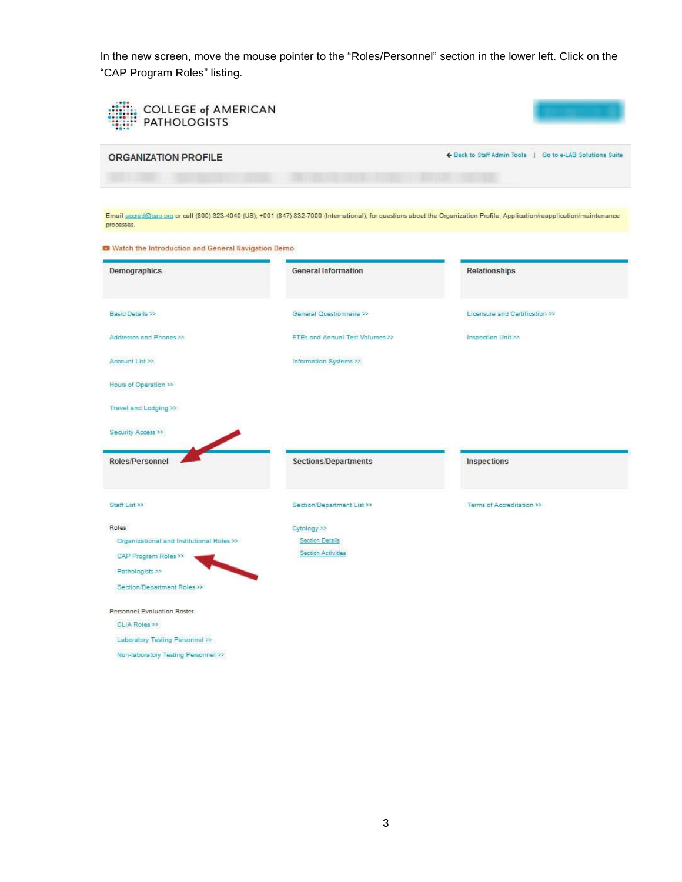In the new screen, move the mouse pointer to the "Roles/Personnel" section in the lower left. Click on the "CAP Program Roles" listing.

| <b>COLLEGE of AMERICAN</b><br><b>PATHOLOGISTS</b>               |                                 |                                                                                                                                                                            |
|-----------------------------------------------------------------|---------------------------------|----------------------------------------------------------------------------------------------------------------------------------------------------------------------------|
| <b>ORGANIZATION PROFILE</b>                                     |                                 | ← Back to Staff Admin Tools   Go to e-LAB Solutions Suite                                                                                                                  |
| processes.                                                      |                                 | Email accred@cap.org or call (800) 323-4040 (US); +001 (847) 832-7000 (International), for questions about the Organization Profile, Application/reapplication/maintenance |
| <sup>2</sup> Watch the Introduction and General Navigation Demo |                                 |                                                                                                                                                                            |
| <b>Demographics</b>                                             | <b>General Information</b>      | <b>Relationships</b>                                                                                                                                                       |
| Basic Details >>                                                | General Questionnaire >>        | Licensure and Certification >>                                                                                                                                             |
| Addresses and Phones >>                                         | FTEs and Annual Test Volumes >> | Inspection Unit >>                                                                                                                                                         |
| Account List >>                                                 | Information Systems >>          |                                                                                                                                                                            |
| Hours of Operation >>                                           |                                 |                                                                                                                                                                            |
| Travel and Lodging >>                                           |                                 |                                                                                                                                                                            |
| Security Access >>                                              |                                 |                                                                                                                                                                            |
| <b>Roles/Personnel</b>                                          | Sections/Departments            | Inspections                                                                                                                                                                |
| Staff List >>                                                   | Section/Department List >>      | Terms of Accreditation >>                                                                                                                                                  |
| Roles                                                           | Cytology >>                     |                                                                                                                                                                            |
| Organizational and Institutional Roles >>                       | <b>Section Details</b>          |                                                                                                                                                                            |
| CAP Program Roles >>                                            | Section Activities              |                                                                                                                                                                            |
| Pathologists >><br>Section/Department Roles >>                  |                                 |                                                                                                                                                                            |
| Personnel Evaluation Roster                                     |                                 |                                                                                                                                                                            |
| CLIA Roles >>                                                   |                                 |                                                                                                                                                                            |
| Laboratory Testing Personnel >>                                 |                                 |                                                                                                                                                                            |
| Non-laboratory Testing Personnel >>                             |                                 |                                                                                                                                                                            |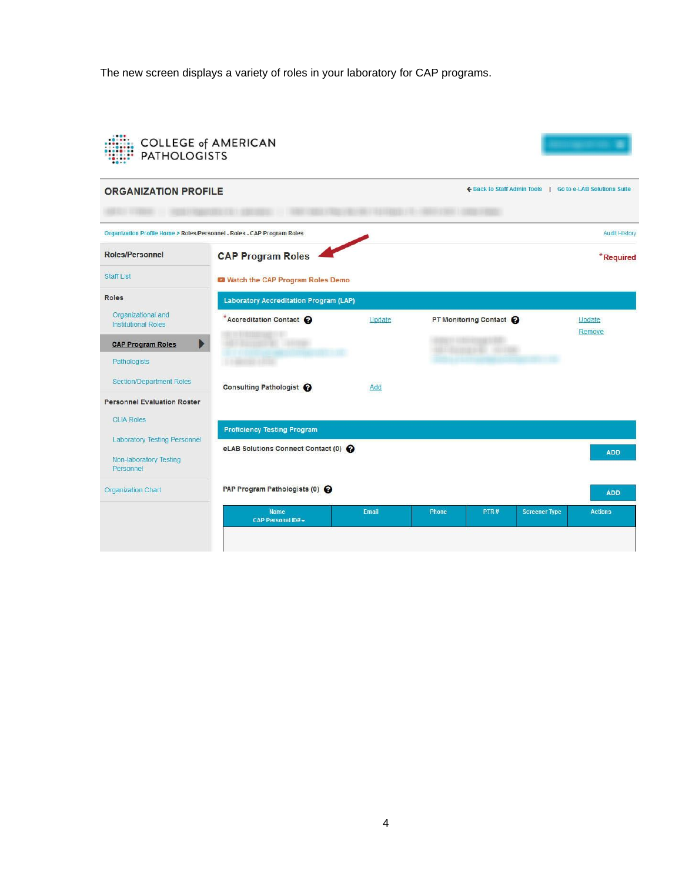The new screen displays a variety of roles in your laboratory for CAP programs.

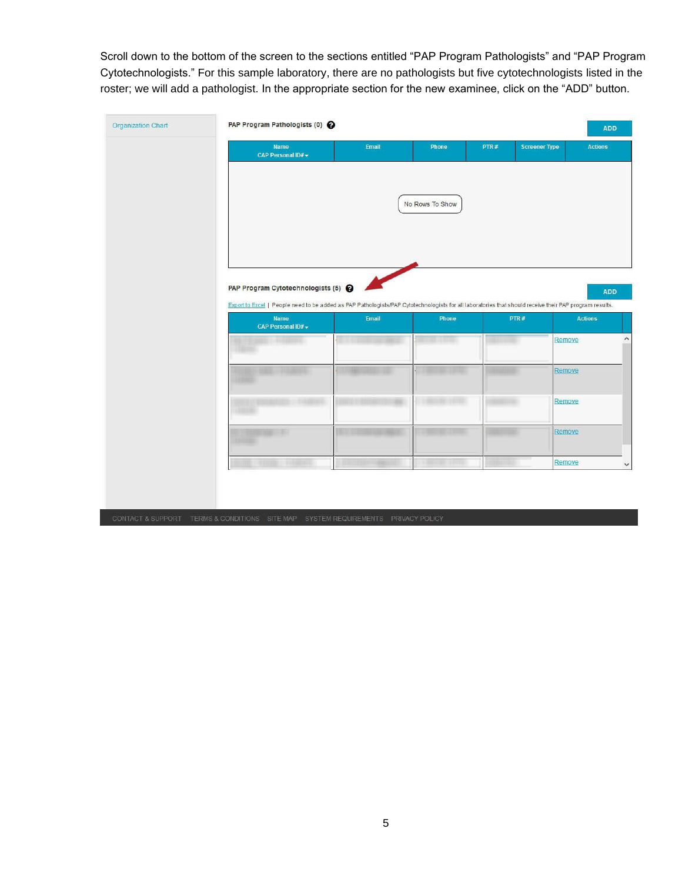Scroll down to the bottom of the screen to the sections entitled "PAP Program Pathologists" and "PAP Program Cytotechnologists." For this sample laboratory, there are no pathologists but five cytotechnologists listed in the roster; we will add a pathologist. In the appropriate section for the new examinee, click on the "ADD" button.

| Name<br>CAP Personal ID# -                                                                                                                              | Email | Phone           | PTR# | <b>Screener Type</b><br><b>Actions</b> |
|---------------------------------------------------------------------------------------------------------------------------------------------------------|-------|-----------------|------|----------------------------------------|
|                                                                                                                                                         |       |                 |      |                                        |
|                                                                                                                                                         |       | No Rows To Show |      |                                        |
|                                                                                                                                                         |       |                 |      |                                        |
|                                                                                                                                                         |       |                 |      |                                        |
| PAP Program Cytotechnologists (5)                                                                                                                       |       |                 |      |                                        |
| Export to Excel   People need to be added as PAP Pathologists/PAP Cytotechnologists for all laboratories that should receive their PAP program results. |       |                 |      |                                        |
| Name<br>CAP Personal ID# -                                                                                                                              | Email | Phone           | PTR# | <b>Actions</b>                         |
| <b>NOTES ENTIRES</b>                                                                                                                                    |       |                 |      | Remove                                 |
|                                                                                                                                                         |       |                 |      | Remove                                 |
|                                                                                                                                                         |       |                 |      | Remove                                 |
|                                                                                                                                                         |       |                 |      | Remove                                 |
| <b>BURGHA CARDINAL</b>                                                                                                                                  |       |                 |      | Remove                                 |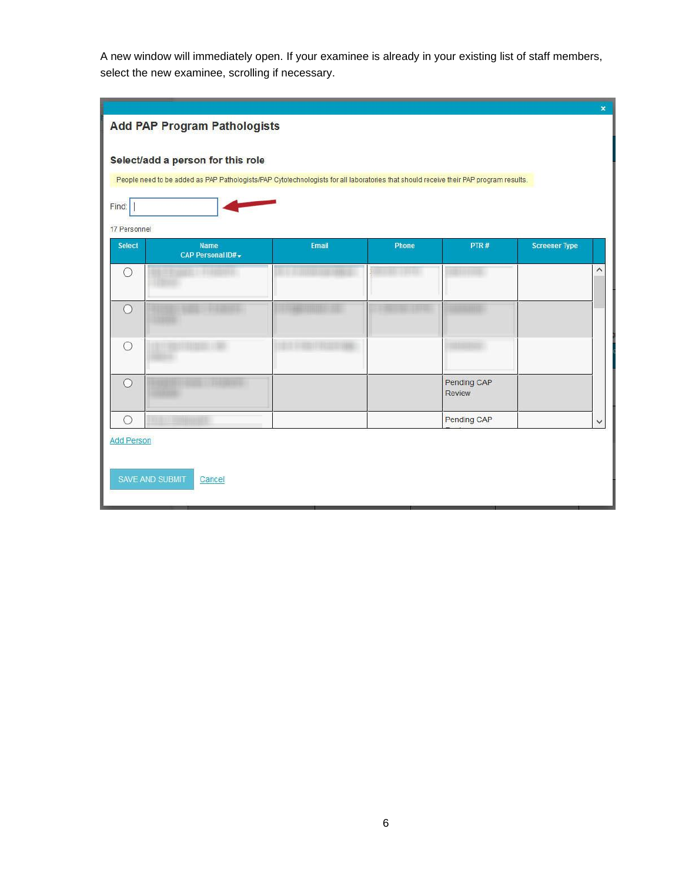A new window will immediately open. If your examinee is already in your existing list of staff members, select the new examinee, scrolling if necessary.

|                        | <b>Add PAP Program Pathologists</b>                                                                                                   |       |       |                              |                      | $\pmb{\times}$          |
|------------------------|---------------------------------------------------------------------------------------------------------------------------------------|-------|-------|------------------------------|----------------------|-------------------------|
|                        |                                                                                                                                       |       |       |                              |                      |                         |
|                        | Select/add a person for this role                                                                                                     |       |       |                              |                      |                         |
|                        | People need to be added as PAP Pathologists/PAP Cytotechnologists for all laboratories that should receive their PAP program results. |       |       |                              |                      |                         |
| Find:                  |                                                                                                                                       |       |       |                              |                      |                         |
| 17 Personnel           |                                                                                                                                       |       |       |                              |                      |                         |
| <b>Select</b>          | Name<br>CAP Personal ID#                                                                                                              | Email | Phone | PTR#                         | <b>Screener Type</b> |                         |
| O                      |                                                                                                                                       |       |       |                              |                      | $\widehat{\phantom{a}}$ |
|                        |                                                                                                                                       |       |       |                              |                      |                         |
| $\circ$                |                                                                                                                                       |       |       |                              |                      |                         |
| O                      |                                                                                                                                       |       |       |                              |                      |                         |
|                        |                                                                                                                                       |       |       |                              |                      |                         |
| Ω                      |                                                                                                                                       |       |       | Pending CAP<br><b>Review</b> |                      |                         |
|                        |                                                                                                                                       |       |       | Pending CAP                  |                      |                         |
| O<br><b>Add Person</b> |                                                                                                                                       |       |       |                              |                      | $\checkmark$            |
|                        |                                                                                                                                       |       |       |                              |                      |                         |
|                        | SAVE AND SUBMIT<br>Cancel                                                                                                             |       |       |                              |                      |                         |
|                        |                                                                                                                                       |       |       |                              |                      |                         |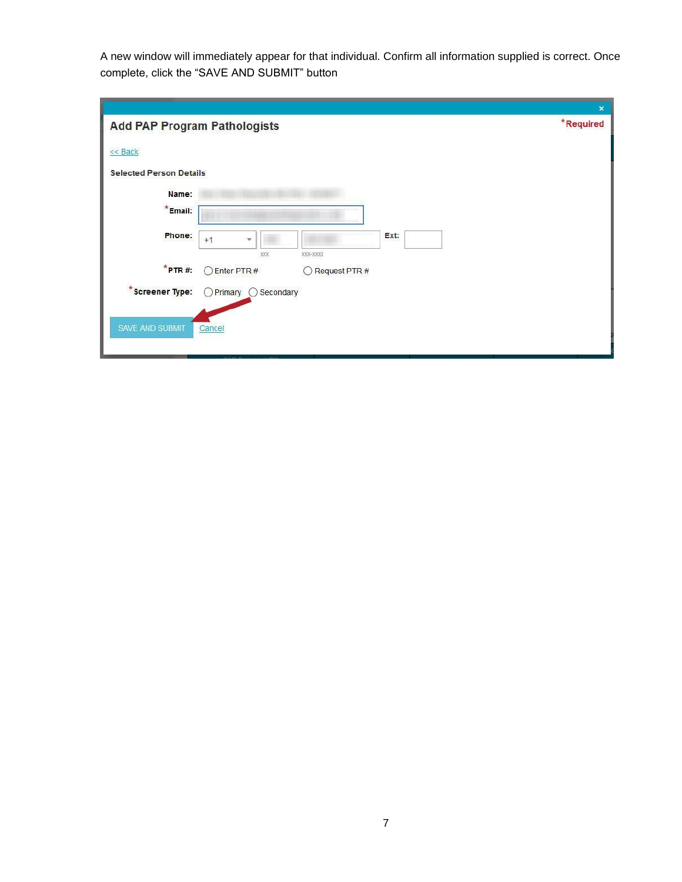A new window will immediately appear for that individual. Confirm all information supplied is correct. Once complete, click the "SAVE AND SUBMIT" button

|                                     |                                  |               | $\mathbf{x}$ |
|-------------------------------------|----------------------------------|---------------|--------------|
| <b>Add PAP Program Pathologists</b> |                                  |               | *Required    |
| << Back                             |                                  |               |              |
| <b>Selected Person Details</b>      |                                  |               |              |
| Name:                               |                                  |               |              |
| *Email:                             |                                  |               |              |
| Phone:                              | $+1$<br>$\overline{\mathbf{v}}$  | Ext:          |              |
| $*$ PTR#:                           | XXX-XXXX<br>XXX<br>◯ Enter PTR # | Request PTR # |              |
| <b>Screener Type:</b>               | Primary O Secondary<br>◯         |               |              |
| SAVE AND SUBMIT                     | Cancel                           |               |              |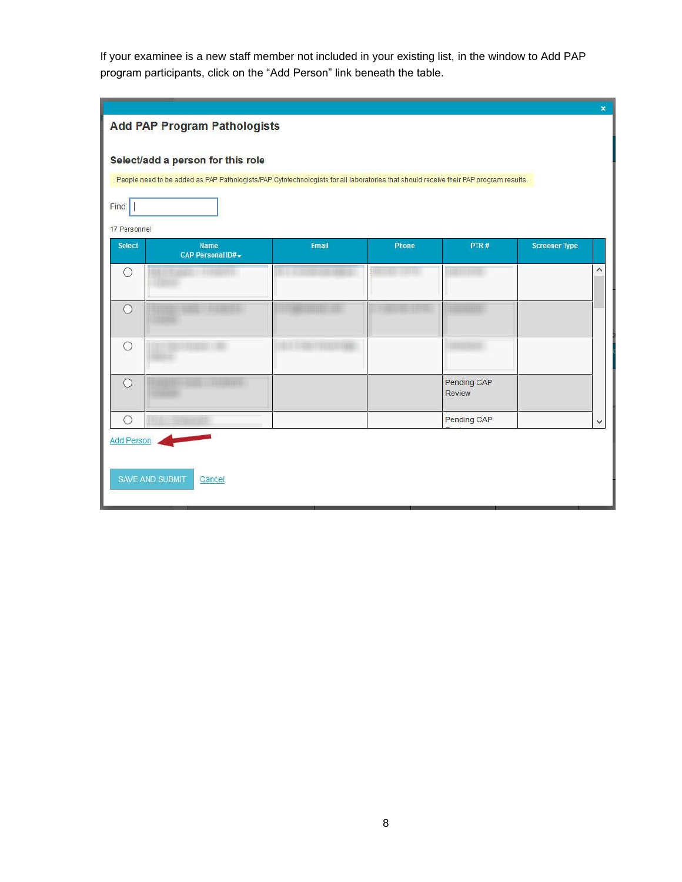If your examinee is a new staff member not included in your existing list, in the window to Add PAP program participants, click on the "Add Person" link beneath the table.

|                               | <b>Add PAP Program Pathologists</b>                                                                                                                                        |       |       |                              |                      | $\pmb{\times}$          |
|-------------------------------|----------------------------------------------------------------------------------------------------------------------------------------------------------------------------|-------|-------|------------------------------|----------------------|-------------------------|
| Find:                         | Select/add a person for this role<br>People need to be added as PAP Pathologists/PAP Cytotechnologists for all laboratories that should receive their PAP program results. |       |       |                              |                      |                         |
| 17 Personnel<br><b>Select</b> | <b>Name</b>                                                                                                                                                                | Email | Phone | PTR#                         | <b>Screener Type</b> |                         |
| O                             | CAP Personal ID# -                                                                                                                                                         |       |       |                              |                      | $\widehat{\phantom{a}}$ |
| $\circ$                       |                                                                                                                                                                            |       |       |                              |                      |                         |
| $\circ$                       |                                                                                                                                                                            |       |       |                              |                      |                         |
| $\circ$                       |                                                                                                                                                                            |       |       | Pending CAP<br><b>Review</b> |                      |                         |
| $\circ$                       |                                                                                                                                                                            |       |       | Pending CAP                  |                      | $\checkmark$            |
| <b>Add Person</b>             | <b>SAVE AND SUBMIT</b><br>Cancel                                                                                                                                           |       |       |                              |                      |                         |